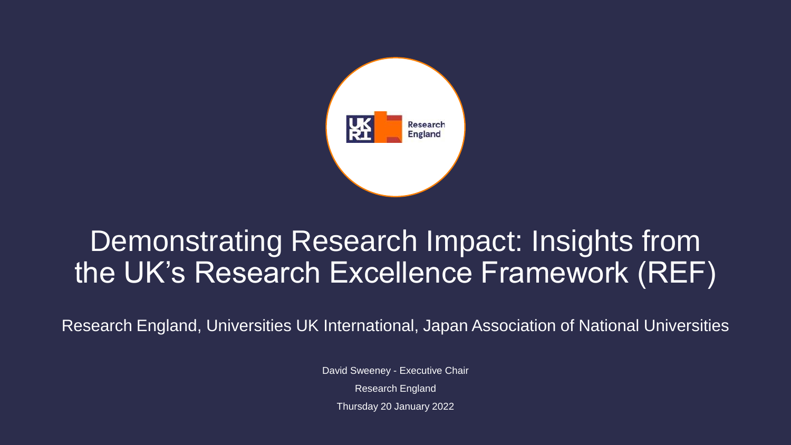

#### Demonstrating Research Impact: Insights from the UK's Research Excellence Framework (REF)

Research England, Universities UK International, Japan Association of National Universities

David Sweeney - Executive Chair Research England Thursday 20 January 2022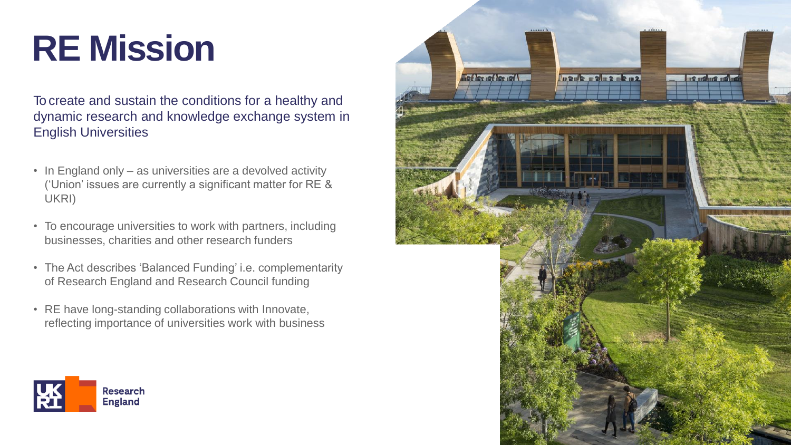#### **RE Mission**

To create and sustain the conditions for a healthy and dynamic research and knowledge exchange system in English Universities

- In England only as universities are a devolved activity ('Union' issues are currently a significant matter for RE & UKRI)
- To encourage universities to work with partners, including businesses, charities and other research funders
- The Act describes 'Balanced Funding' i.e. complementarity of Research England and Research Council funding
- RE have long-standing collaborations with Innovate, reflecting importance of universities work with business



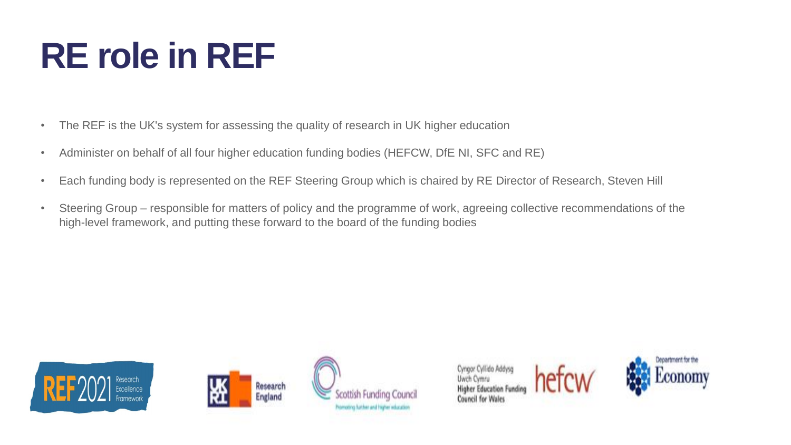### **RE role in REF**

- The REF is the UK's system for assessing the quality of research in UK higher education
- Administer on behalf of all four higher education funding bodies (HEFCW, DfE NI, SFC and RE)
- Each funding body is represented on the REF Steering Group which is chaired by RE Director of Research, Steven Hill
- Steering Group responsible for matters of policy and the programme of work, agreeing collective recommendations of the high-level framework, and putting these forward to the board of the funding bodies









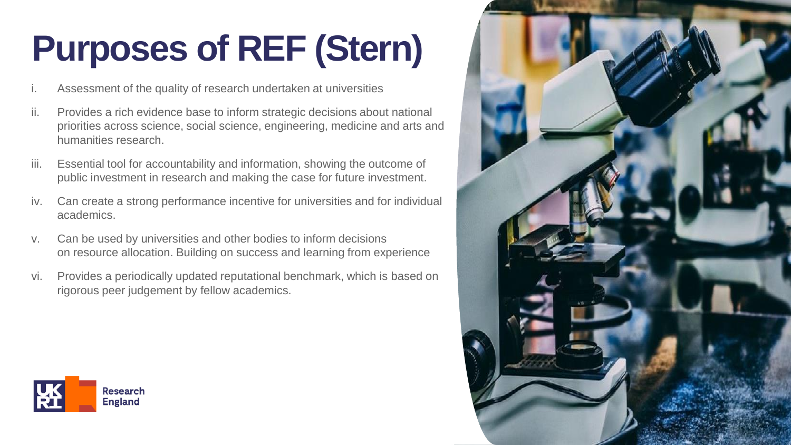## **Purposes of REF (Stern)**

- Assessment of the quality of research undertaken at universities
- ii. Provides a rich evidence base to inform strategic decisions about national priorities across science, social science, engineering, medicine and arts and humanities research.
- iii. Essential tool for accountability and information, showing the outcome of public investment in research and making the case for future investment.
- iv. Can create a strong performance incentive for universities and for individual academics.
- v. Can be used by universities and other bodies to inform decisions on resource allocation. Building on success and learning from experience
- vi. Provides a periodically updated reputational benchmark, which is based on rigorous peer judgement by fellow academics.